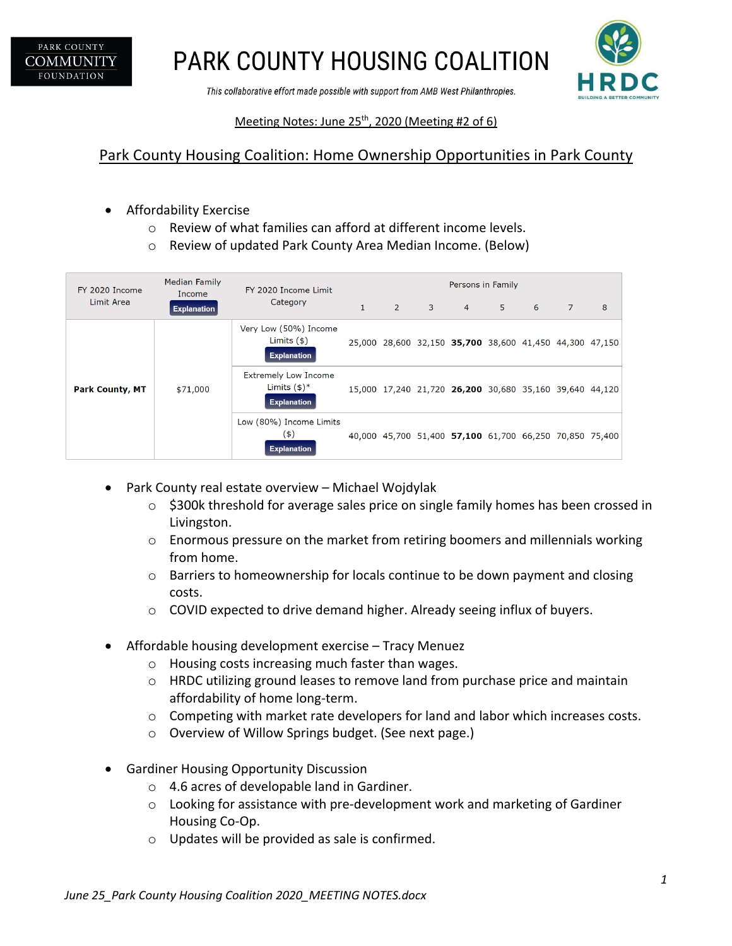

**PARK COUNTY HOUSING COALITION** 

This collaborative effort made possible with support from AMB West Philanthropies.



#### Meeting Notes: June  $25<sup>th</sup>$ , 2020 (Meeting #2 of 6)

## Park County Housing Coalition: Home Ownership Opportunities in Park County

- Affordability Exercise
	- o Review of what families can afford at different income levels.
	- o Review of updated Park County Area Median Income. (Below)

| FY 2020 Income<br>Limit Area | <b>Median Family</b><br>Income<br><b>Explanation</b> | FY 2020 Income Limit<br>Category                                              | Persons in Family |                |                            |                                                         |   |             |   |   |
|------------------------------|------------------------------------------------------|-------------------------------------------------------------------------------|-------------------|----------------|----------------------------|---------------------------------------------------------|---|-------------|---|---|
|                              |                                                      |                                                                               | $\mathbf{1}$      | $\overline{2}$ | $\overline{\phantom{a}}$ 3 | $\overline{4}$                                          | 5 | $6^{\circ}$ | 7 | 8 |
| <b>Park County, MT</b>       | \$71,000                                             | Very Low (50%) Income<br>Limits $(\$)$<br><b>Explanation</b>                  |                   |                |                            | 25,000 28,600 32,150 35,700 38,600 41,450 44,300 47,150 |   |             |   |   |
|                              |                                                      | <b>Extremely Low Income</b><br>Limits $(\frac{1}{2})^*$<br><b>Explanation</b> |                   |                |                            | 15,000 17,240 21,720 26,200 30,680 35,160 39,640 44,120 |   |             |   |   |
|                              |                                                      | Low (80%) Income Limits<br>(4)<br><b>Explanation</b>                          |                   |                |                            | 40,000 45,700 51,400 57,100 61,700 66,250 70,850 75,400 |   |             |   |   |

- Park County real estate overview Michael Wojdylak
	- o \$300k threshold for average sales price on single family homes has been crossed in Livingston.
	- $\circ$  Enormous pressure on the market from retiring boomers and millennials working from home.
	- o Barriers to homeownership for locals continue to be down payment and closing costs.
	- o COVID expected to drive demand higher. Already seeing influx of buyers.
- Affordable housing development exercise Tracy Menuez
	- o Housing costs increasing much faster than wages.
	- o HRDC utilizing ground leases to remove land from purchase price and maintain affordability of home long-term.
	- o Competing with market rate developers for land and labor which increases costs.
	- o Overview of Willow Springs budget. (See next page.)
- Gardiner Housing Opportunity Discussion
	- o 4.6 acres of developable land in Gardiner.
	- o Looking for assistance with pre-development work and marketing of Gardiner Housing Co-Op.
	- o Updates will be provided as sale is confirmed.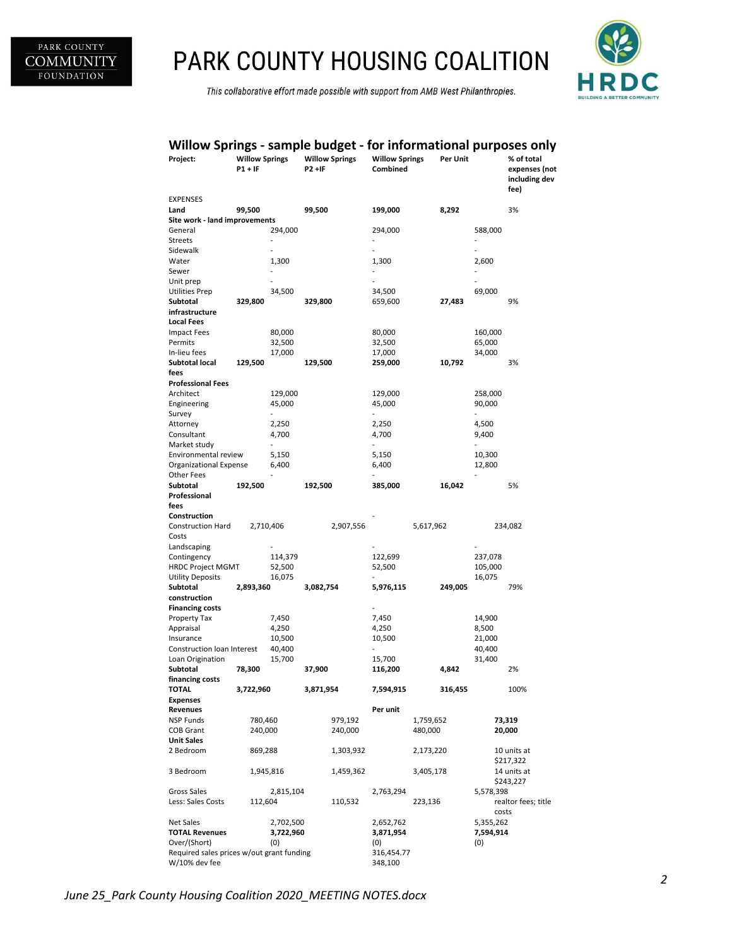

## PARK COUNTY HOUSING COALITION

This collaborative effort made possible with support from AMB West Philanthropies.



### **Willow Springs - sample budget - for informational purposes only**

| Project:                                                   | <b>Willow Springs</b><br>$P1 + IF$ |                         | <b>Willow Springs</b><br>P2 +IF |           | <b>Willow Springs</b><br>Combined |           | Per Unit |                | % of total<br>expenses (not<br>including dev<br>fee) |
|------------------------------------------------------------|------------------------------------|-------------------------|---------------------------------|-----------|-----------------------------------|-----------|----------|----------------|------------------------------------------------------|
| <b>EXPENSES</b>                                            | 99,500                             |                         | 99,500                          |           | 199,000                           |           |          |                | 3%                                                   |
| Land<br>Site work - land improvements                      |                                    |                         | 8,292                           |           |                                   |           |          |                |                                                      |
| General                                                    |                                    | 294,000                 |                                 |           | 294,000                           |           |          | 588,000        |                                                      |
| <b>Streets</b>                                             |                                    |                         |                                 |           |                                   |           |          |                |                                                      |
| Sidewalk                                                   |                                    | $\overline{a}$          |                                 |           | L,                                |           |          | $\overline{a}$ |                                                      |
| Water                                                      |                                    | 1,300                   |                                 |           | 1,300                             |           |          | 2,600          |                                                      |
| Sewer                                                      |                                    | $\overline{a}$          |                                 |           | $\overline{a}$                    |           |          | $\overline{a}$ |                                                      |
| Unit prep                                                  |                                    |                         |                                 |           | ۰                                 |           |          |                |                                                      |
| Utilities Prep                                             |                                    | 34,500                  |                                 |           | 34,500                            |           |          | 69,000         |                                                      |
| Subtotal<br>infrastructure                                 | 329,800                            |                         | 329,800                         |           | 659,600                           |           | 27,483   |                | 9%                                                   |
| <b>Local Fees</b>                                          |                                    |                         |                                 |           |                                   |           |          |                |                                                      |
| <b>Impact Fees</b>                                         |                                    | 80,000                  |                                 |           | 80,000                            |           |          | 160,000        |                                                      |
| Permits                                                    |                                    | 32,500                  |                                 |           | 32,500                            |           |          | 65,000         |                                                      |
| In-lieu fees                                               |                                    | 17,000                  |                                 |           | 17,000                            |           |          | 34,000         |                                                      |
| Subtotal local                                             | 129,500                            |                         | 129,500                         |           | 259,000                           |           | 10,792   |                | 3%                                                   |
| fees                                                       |                                    |                         |                                 |           |                                   |           |          |                |                                                      |
| <b>Professional Fees</b>                                   |                                    |                         |                                 |           |                                   |           |          |                |                                                      |
| Architect                                                  |                                    | 129,000                 |                                 |           | 129,000                           |           |          | 258,000        |                                                      |
| Engineering                                                |                                    | 45,000                  |                                 |           | 45,000                            |           |          | 90,000         |                                                      |
| Survey<br>Attorney                                         |                                    | $\overline{a}$<br>2,250 |                                 |           | $\overline{a}$<br>2,250           |           |          | 4,500          |                                                      |
| Consultant                                                 |                                    | 4,700                   |                                 |           | 4,700                             |           |          | 9,400          |                                                      |
| Market study                                               |                                    | $\overline{a}$          |                                 |           | ÷                                 |           |          |                |                                                      |
| Environmental review                                       |                                    | 5,150                   |                                 |           | 5,150                             |           |          | 10,300         |                                                      |
| Organizational Expense                                     |                                    | 6,400                   |                                 |           | 6,400                             |           |          | 12,800         |                                                      |
| Other Fees                                                 |                                    |                         |                                 |           | $\overline{a}$                    |           |          |                |                                                      |
| Subtotal                                                   | 192,500                            |                         | 192,500                         |           | 385,000                           |           | 16,042   |                | 5%                                                   |
| Professional                                               |                                    |                         |                                 |           |                                   |           |          |                |                                                      |
| fees                                                       |                                    |                         |                                 |           |                                   |           |          |                |                                                      |
| Construction<br><b>Construction Hard</b>                   | 2,710,406                          |                         |                                 | 2,907,556 |                                   | 5,617,962 |          |                | 234,082                                              |
| Costs                                                      |                                    |                         |                                 |           |                                   |           |          |                |                                                      |
| Landscaping                                                |                                    |                         |                                 |           |                                   |           |          |                |                                                      |
| Contingency                                                |                                    | 114,379                 |                                 |           | 122,699                           |           |          | 237,078        |                                                      |
| <b>HRDC Project MGMT</b>                                   |                                    | 52,500                  |                                 |           | 52,500                            |           |          | 105,000        |                                                      |
| <b>Utility Deposits</b>                                    |                                    | 16,075                  |                                 |           |                                   |           |          | 16,075         |                                                      |
| Subtotal                                                   | 2,893,360                          |                         | 3,082,754                       |           | 5,976,115                         |           | 249,005  |                | 79%                                                  |
| construction<br><b>Financing costs</b>                     |                                    |                         |                                 |           |                                   |           |          |                |                                                      |
| Property Tax                                               |                                    | 7,450                   |                                 |           | 7,450                             |           |          | 14,900         |                                                      |
| Appraisal                                                  |                                    | 4,250                   |                                 |           | 4,250                             |           |          | 8,500          |                                                      |
| Insurance                                                  |                                    | 10,500                  |                                 |           | 10,500                            |           |          | 21,000         |                                                      |
| Construction loan Interest                                 |                                    | 40,400                  |                                 |           |                                   |           |          | 40,400         |                                                      |
| Loan Origination                                           |                                    | 15,700                  |                                 |           | 15,700                            |           |          | 31,400         |                                                      |
| Subtotal                                                   | 78,300                             |                         | 37,900                          |           | 116,200                           |           | 4,842    |                | 2%                                                   |
| financing costs                                            |                                    |                         |                                 |           |                                   |           |          |                |                                                      |
| <b>TOTAL</b>                                               | 3,722,960                          |                         | 3,871,954                       |           | 7,594,915                         |           | 316,455  |                | 100%                                                 |
| <b>Expenses</b>                                            |                                    |                         |                                 |           | Per unit                          |           |          |                |                                                      |
| Revenues<br>NSP Funds                                      | 780,460                            |                         |                                 | 979,192   |                                   | 1,759,652 |          |                | 73,319                                               |
| <b>COB Grant</b>                                           | 240,000                            |                         |                                 | 240,000   |                                   | 480,000   |          |                | 20,000                                               |
| <b>Unit Sales</b>                                          |                                    |                         |                                 |           |                                   |           |          |                |                                                      |
| 2 Bedroom                                                  | 869,288                            |                         |                                 | 1,303,932 |                                   | 2,173,220 |          |                | 10 units at                                          |
| 3 Bedroom                                                  |                                    | 1,945,816               |                                 | 1,459,362 |                                   | 3,405,178 |          |                | \$217,322<br>14 units at                             |
|                                                            |                                    |                         |                                 |           |                                   |           |          |                | \$243,227                                            |
| Gross Sales<br>Less: Sales Costs                           |                                    | 2,815,104               |                                 | 110,532   | 2,763,294                         |           |          | 5,578,398      | realtor fees; title                                  |
|                                                            | 112,604                            |                         |                                 |           |                                   | 223,136   |          | costs          |                                                      |
| Net Sales                                                  |                                    | 2,702,500               |                                 |           | 2,652,762                         |           |          | 5,355,262      |                                                      |
| <b>TOTAL Revenues</b>                                      |                                    | 3,722,960               |                                 |           | 3,871,954                         |           |          | 7,594,914      |                                                      |
| Over/(Short)<br>(0)                                        |                                    |                         |                                 |           | (0)                               |           |          | (0)            |                                                      |
| Required sales prices w/out grant funding<br>W/10% dev fee |                                    |                         |                                 |           | 316,454.77<br>348,100             |           |          |                |                                                      |